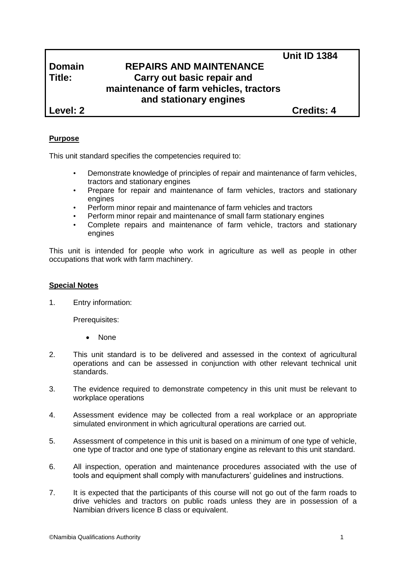# **Domain REPAIRS AND MAINTENANCE Title: Carry out basic repair and maintenance of farm vehicles, tractors and stationary engines**

**Level: 2 Credits: 4**

**Unit ID 1384**

## **Purpose**

This unit standard specifies the competencies required to:

- Demonstrate knowledge of principles of repair and maintenance of farm vehicles, tractors and stationary engines
- Prepare for repair and maintenance of farm vehicles, tractors and stationary engines
- Perform minor repair and maintenance of farm vehicles and tractors
- Perform minor repair and maintenance of small farm stationary engines
- Complete repairs and maintenance of farm vehicle, tractors and stationary engines

This unit is intended for people who work in agriculture as well as people in other occupations that work with farm machinery.

#### **Special Notes**

1. Entry information:

Prerequisites:

- None
- 2. This unit standard is to be delivered and assessed in the context of agricultural operations and can be assessed in conjunction with other relevant technical unit standards.
- 3. The evidence required to demonstrate competency in this unit must be relevant to workplace operations
- 4. Assessment evidence may be collected from a real workplace or an appropriate simulated environment in which agricultural operations are carried out.
- 5. Assessment of competence in this unit is based on a minimum of one type of vehicle, one type of tractor and one type of stationary engine as relevant to this unit standard.
- 6. All inspection, operation and maintenance procedures associated with the use of tools and equipment shall comply with manufacturers' guidelines and instructions.
- 7. It is expected that the participants of this course will not go out of the farm roads to drive vehicles and tractors on public roads unless they are in possession of a Namibian drivers licence B class or equivalent.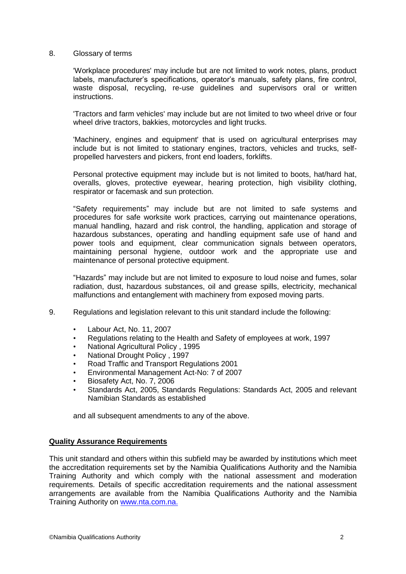#### 8. Glossary of terms

'Workplace procedures' may include but are not limited to work notes, plans, product labels, manufacturer's specifications, operator's manuals, safety plans, fire control, waste disposal, recycling, re-use guidelines and supervisors oral or written instructions.

'Tractors and farm vehicles' may include but are not limited to two wheel drive or four wheel drive tractors, bakkies, motorcycles and light trucks.

'Machinery, engines and equipment' that is used on agricultural enterprises may include but is not limited to stationary engines, tractors, vehicles and trucks, selfpropelled harvesters and pickers, front end loaders, forklifts.

Personal protective equipment may include but is not limited to boots, hat/hard hat, overalls, gloves, protective eyewear, hearing protection, high visibility clothing, respirator or facemask and sun protection.

"Safety requirements" may include but are not limited to safe systems and procedures for safe worksite work practices, carrying out maintenance operations, manual handling, hazard and risk control, the handling, application and storage of hazardous substances, operating and handling equipment safe use of hand and power tools and equipment, clear communication signals between operators, maintaining personal hygiene, outdoor work and the appropriate use and maintenance of personal protective equipment.

"Hazards" may include but are not limited to exposure to loud noise and fumes, solar radiation, dust, hazardous substances, oil and grease spills, electricity, mechanical malfunctions and entanglement with machinery from exposed moving parts.

- 9. Regulations and legislation relevant to this unit standard include the following:
	- Labour Act, No. 11, 2007
	- Regulations relating to the Health and Safety of employees at work, 1997
	- National Agricultural Policy , 1995
	- National Drought Policy , 1997
	- Road Traffic and Transport Regulations 2001
	- Environmental Management Act-No: 7 of 2007
	- Biosafety Act, No. 7, 2006
	- Standards Act, 2005, Standards Regulations: Standards Act, 2005 and relevant Namibian Standards as established

and all subsequent amendments to any of the above.

#### **Quality Assurance Requirements**

This unit standard and others within this subfield may be awarded by institutions which meet the accreditation requirements set by the Namibia Qualifications Authority and the Namibia Training Authority and which comply with the national assessment and moderation requirements. Details of specific accreditation requirements and the national assessment arrangements are available from the Namibia Qualifications Authority and the Namibia Training Authority on [www.nta.com.na.](http://www.nta.com.na/)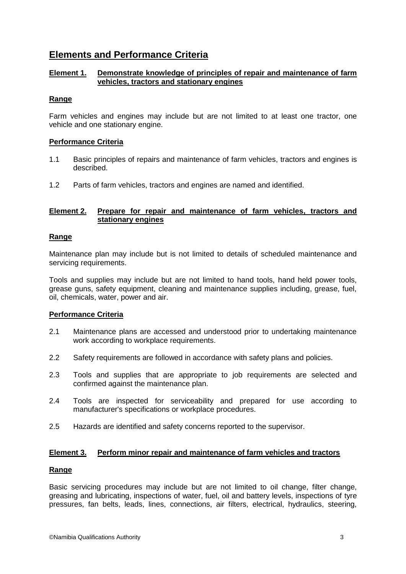## **Elements and Performance Criteria**

## **Element 1. Demonstrate knowledge of principles of repair and maintenance of farm vehicles, tractors and stationary engines**

## **Range**

Farm vehicles and engines may include but are not limited to at least one tractor, one vehicle and one stationary engine.

### **Performance Criteria**

- 1.1 Basic principles of repairs and maintenance of farm vehicles, tractors and engines is described.
- 1.2 Parts of farm vehicles, tractors and engines are named and identified.

## **Element 2. Prepare for repair and maintenance of farm vehicles, tractors and stationary engines**

### **Range**

Maintenance plan may include but is not limited to details of scheduled maintenance and servicing requirements.

Tools and supplies may include but are not limited to hand tools, hand held power tools, grease guns, safety equipment, cleaning and maintenance supplies including, grease, fuel, oil, chemicals, water, power and air.

### **Performance Criteria**

- 2.1 Maintenance plans are accessed and understood prior to undertaking maintenance work according to workplace requirements.
- 2.2 Safety requirements are followed in accordance with safety plans and policies.
- 2.3 Tools and supplies that are appropriate to job requirements are selected and confirmed against the maintenance plan.
- 2.4 Tools are inspected for serviceability and prepared for use according to manufacturer's specifications or workplace procedures.
- 2.5 Hazards are identified and safety concerns reported to the supervisor.

### **Element 3. Perform minor repair and maintenance of farm vehicles and tractors**

### **Range**

Basic servicing procedures may include but are not limited to oil change, filter change, greasing and lubricating, inspections of water, fuel, oil and battery levels, inspections of tyre pressures, fan belts, leads, lines, connections, air filters, electrical, hydraulics, steering,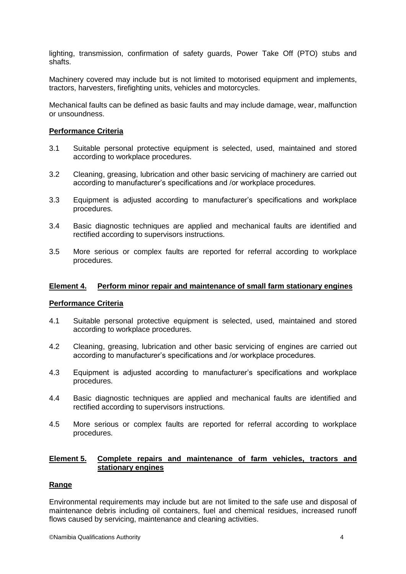lighting, transmission, confirmation of safety guards, Power Take Off (PTO) stubs and shafts.

Machinery covered may include but is not limited to motorised equipment and implements, tractors, harvesters, firefighting units, vehicles and motorcycles.

Mechanical faults can be defined as basic faults and may include damage, wear, malfunction or unsoundness.

#### **Performance Criteria**

- 3.1 Suitable personal protective equipment is selected, used, maintained and stored according to workplace procedures.
- 3.2 Cleaning, greasing, lubrication and other basic servicing of machinery are carried out according to manufacturer's specifications and /or workplace procedures.
- 3.3 Equipment is adjusted according to manufacturer's specifications and workplace procedures.
- 3.4 Basic diagnostic techniques are applied and mechanical faults are identified and rectified according to supervisors instructions.
- 3.5 More serious or complex faults are reported for referral according to workplace procedures.

#### **Element 4. Perform minor repair and maintenance of small farm stationary engines**

#### **Performance Criteria**

- 4.1 Suitable personal protective equipment is selected, used, maintained and stored according to workplace procedures.
- 4.2 Cleaning, greasing, lubrication and other basic servicing of engines are carried out according to manufacturer's specifications and /or workplace procedures.
- 4.3 Equipment is adjusted according to manufacturer's specifications and workplace procedures.
- 4.4 Basic diagnostic techniques are applied and mechanical faults are identified and rectified according to supervisors instructions.
- 4.5 More serious or complex faults are reported for referral according to workplace procedures.

#### **Element 5. Complete repairs and maintenance of farm vehicles, tractors and stationary engines**

#### **Range**

Environmental requirements may include but are not limited to the safe use and disposal of maintenance debris including oil containers, fuel and chemical residues, increased runoff flows caused by servicing, maintenance and cleaning activities.